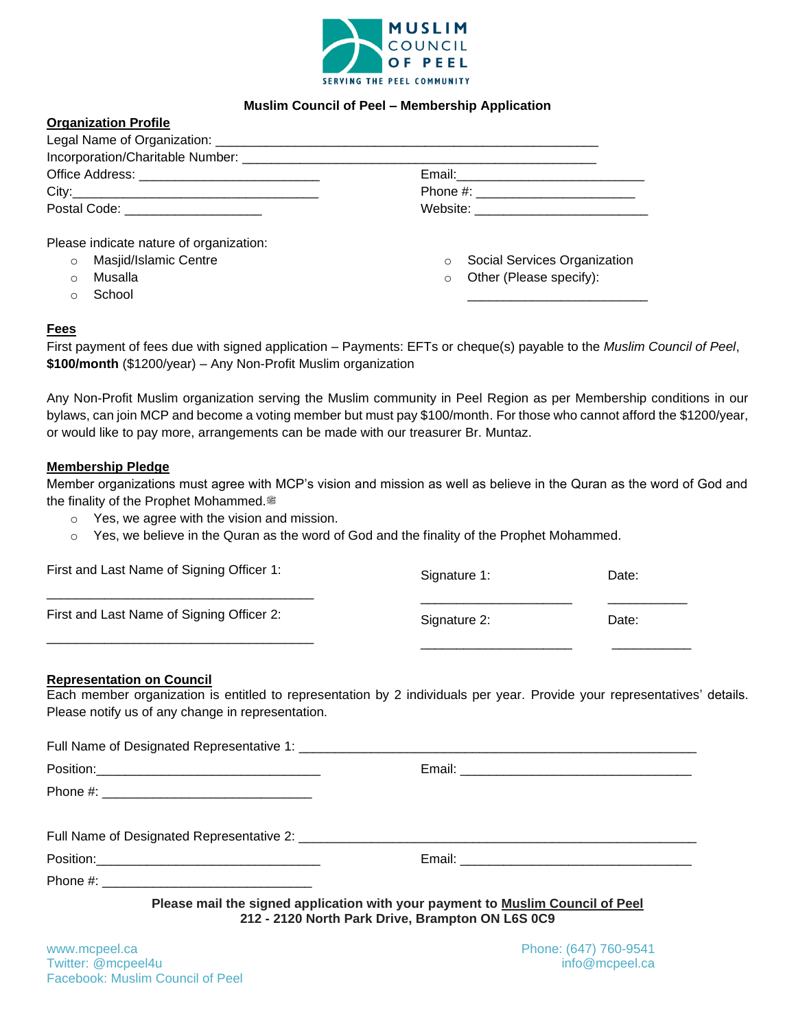

## **Muslim Council of Peel – Membership Application**

| Postal Code: _______________________ |  |
|--------------------------------------|--|

- o Masjid/Islamic Centre
- o Musalla

**Organization Profile**

o School

o Social Services Organization

\_\_\_\_\_\_\_\_\_\_\_\_\_\_\_\_\_\_\_\_\_\_\_\_\_

o Other (Please specify):

### **Fees**

First payment of fees due with signed application – Payments: EFTs or cheque(s) payable to the *Muslim Council of Peel*, **\$100/month** (\$1200/year) – Any Non-Profit Muslim organization

Any Non-Profit Muslim organization serving the Muslim community in Peel Region as per Membership conditions in our bylaws, can join MCP and become a voting member but must pay \$100/month. For those who cannot afford the \$1200/year, or would like to pay more, arrangements can be made with our treasurer Br. Muntaz.

#### **Membership Pledge**

Member organizations must agree with MCP's vision and mission as well as believe in the Quran as the word of God and the finality of the Prophet Mohammed.

- o Yes, we agree with the vision and mission.
- $\circ$  Yes, we believe in the Quran as the word of God and the finality of the Prophet Mohammed.

| First and Last Name of Signing Officer 1: | Signature 1: | Date: |
|-------------------------------------------|--------------|-------|
| First and Last Name of Signing Officer 2: | Signature 2: | Date: |
|                                           |              |       |

### **Representation on Council**

 $F_{\text{full}}$  Name of Designated Representative 1:

Each member organization is entitled to representation by 2 individuals per year. Provide your representatives' details. Please notify us of any change in representation.

| Tuli Natile of Designated Representative 1.                                    |
|--------------------------------------------------------------------------------|
|                                                                                |
|                                                                                |
|                                                                                |
|                                                                                |
|                                                                                |
| Please mail the signed application with your payment to Muslim Council of Peel |

**212 - 2120 North Park Drive, Brampton ON L6S 0C9**